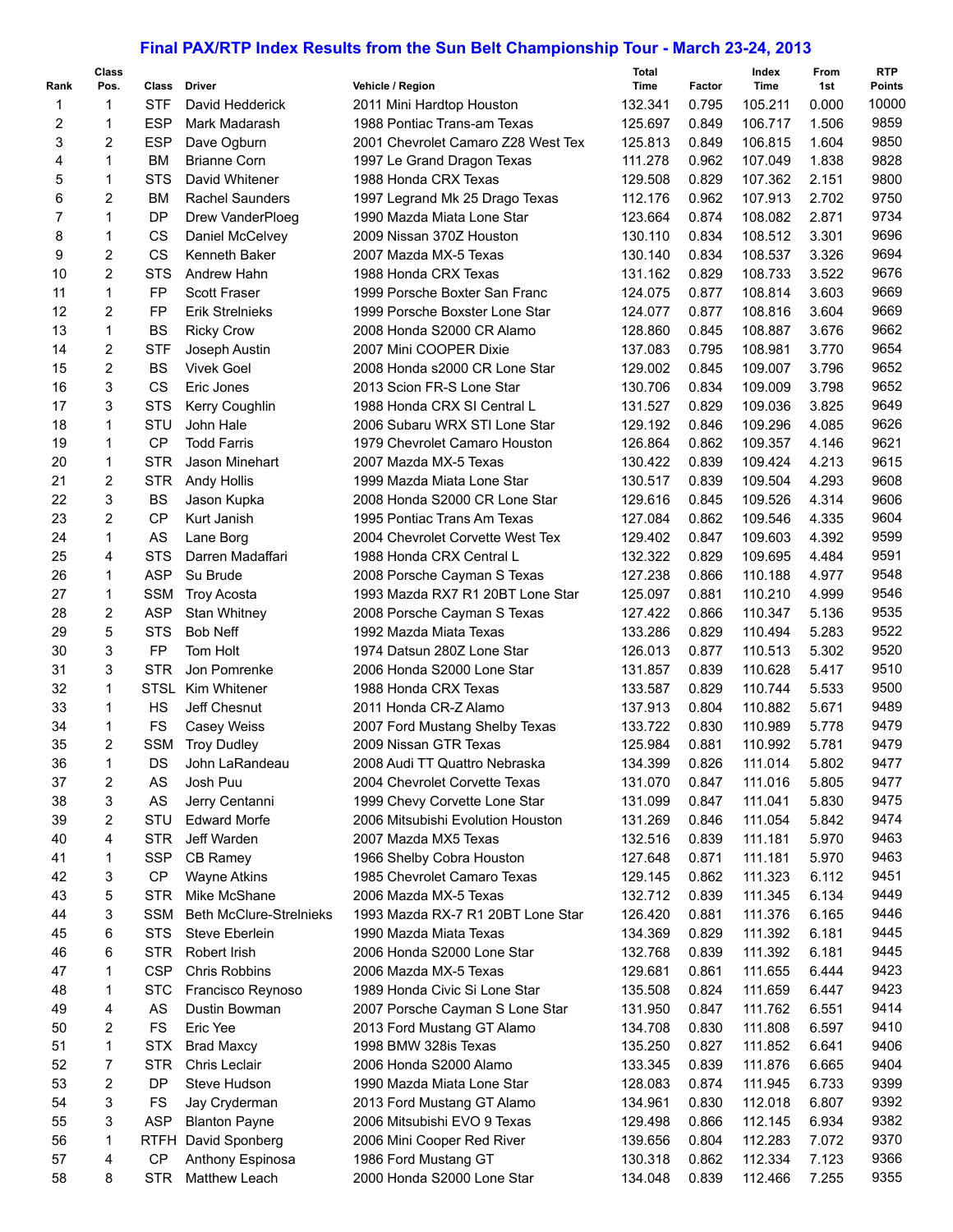## **Final PAX/RTP Index Results from the Sun Belt Championship Tour - March 23-24, 2013**

| Rank | Class<br>Pos. | Class       | <b>Driver</b>                  | Vehicle / Region                   | <b>Total</b><br>Time | Factor | Index<br>Time | From<br>1st | <b>RTP</b><br><b>Points</b> |
|------|---------------|-------------|--------------------------------|------------------------------------|----------------------|--------|---------------|-------------|-----------------------------|
| 1    | $\mathbf{1}$  | <b>STF</b>  | David Hedderick                | 2011 Mini Hardtop Houston          | 132.341              | 0.795  | 105.211       | 0.000       | 10000                       |
| 2    | 1             | <b>ESP</b>  | Mark Madarash                  | 1988 Pontiac Trans-am Texas        | 125.697              | 0.849  | 106.717       | 1.506       | 9859                        |
| 3    | 2             | <b>ESP</b>  | Dave Ogburn                    | 2001 Chevrolet Camaro Z28 West Tex | 125.813              | 0.849  | 106.815       | 1.604       | 9850                        |
| 4    | $\mathbf{1}$  | <b>BM</b>   | <b>Brianne Corn</b>            | 1997 Le Grand Dragon Texas         | 111.278              | 0.962  | 107.049       | 1.838       | 9828                        |
| 5    | 1             | <b>STS</b>  | David Whitener                 | 1988 Honda CRX Texas               | 129.508              | 0.829  | 107.362       | 2.151       | 9800                        |
| 6    | 2             | <b>BM</b>   | <b>Rachel Saunders</b>         | 1997 Legrand Mk 25 Drago Texas     | 112.176              | 0.962  | 107.913       | 2.702       | 9750                        |
| 7    | $\mathbf{1}$  | DP          | Drew VanderPloeg               | 1990 Mazda Miata Lone Star         | 123.664              | 0.874  | 108.082       | 2.871       | 9734                        |
| 8    | $\mathbf{1}$  | CS          |                                | 2009 Nissan 370Z Houston           | 130.110              | 0.834  | 108.512       | 3.301       | 9696                        |
|      |               | <b>CS</b>   | Daniel McCelvey                | 2007 Mazda MX-5 Texas              | 130.140              |        |               | 3.326       | 9694                        |
| 9    | 2             |             | Kenneth Baker<br>Andrew Hahn   |                                    |                      | 0.834  | 108.537       | 3.522       | 9676                        |
| 10   | 2             | <b>STS</b>  |                                | 1988 Honda CRX Texas               | 131.162              | 0.829  | 108.733       |             | 9669                        |
| 11   | $\mathbf{1}$  | <b>FP</b>   | <b>Scott Fraser</b>            | 1999 Porsche Boxter San Franc      | 124.075              | 0.877  | 108.814       | 3.603       |                             |
| 12   | 2             | FP          | <b>Erik Strelnieks</b>         | 1999 Porsche Boxster Lone Star     | 124.077              | 0.877  | 108.816       | 3.604       | 9669                        |
| 13   | $\mathbf{1}$  | <b>BS</b>   | <b>Ricky Crow</b>              | 2008 Honda S2000 CR Alamo          | 128.860              | 0.845  | 108.887       | 3.676       | 9662                        |
| 14   | 2             | <b>STF</b>  | Joseph Austin                  | 2007 Mini COOPER Dixie             | 137.083              | 0.795  | 108.981       | 3.770       | 9654                        |
| 15   | 2             | <b>BS</b>   | <b>Vivek Goel</b>              | 2008 Honda s2000 CR Lone Star      | 129.002              | 0.845  | 109.007       | 3.796       | 9652                        |
| 16   | 3             | CS          | Eric Jones                     | 2013 Scion FR-S Lone Star          | 130.706              | 0.834  | 109.009       | 3.798       | 9652                        |
| 17   | 3             | <b>STS</b>  | Kerry Coughlin                 | 1988 Honda CRX SI Central L        | 131.527              | 0.829  | 109.036       | 3.825       | 9649                        |
| 18   | $\mathbf{1}$  | STU         | John Hale                      | 2006 Subaru WRX STI Lone Star      | 129.192              | 0.846  | 109.296       | 4.085       | 9626                        |
| 19   | $\mathbf{1}$  | CP          | <b>Todd Farris</b>             | 1979 Chevrolet Camaro Houston      | 126.864              | 0.862  | 109.357       | 4.146       | 9621                        |
| 20   | $\mathbf{1}$  | <b>STR</b>  | Jason Minehart                 | 2007 Mazda MX-5 Texas              | 130.422              | 0.839  | 109.424       | 4.213       | 9615                        |
| 21   | 2             | <b>STR</b>  | Andy Hollis                    | 1999 Mazda Miata Lone Star         | 130.517              | 0.839  | 109.504       | 4.293       | 9608                        |
| 22   | 3             | <b>BS</b>   | Jason Kupka                    | 2008 Honda S2000 CR Lone Star      | 129.616              | 0.845  | 109.526       | 4.314       | 9606                        |
| 23   | 2             | <b>CP</b>   | Kurt Janish                    | 1995 Pontiac Trans Am Texas        | 127.084              | 0.862  | 109.546       | 4.335       | 9604                        |
| 24   | $\mathbf{1}$  | AS          | Lane Borg                      | 2004 Chevrolet Corvette West Tex   | 129.402              | 0.847  | 109.603       | 4.392       | 9599                        |
| 25   | 4             | <b>STS</b>  | Darren Madaffari               | 1988 Honda CRX Central L           | 132.322              | 0.829  | 109.695       | 4.484       | 9591                        |
| 26   | $\mathbf{1}$  | <b>ASP</b>  | Su Brude                       | 2008 Porsche Cayman S Texas        | 127.238              | 0.866  | 110.188       | 4.977       | 9548                        |
| 27   | 1             | <b>SSM</b>  | <b>Troy Acosta</b>             | 1993 Mazda RX7 R1 20BT Lone Star   | 125.097              | 0.881  | 110.210       | 4.999       | 9546                        |
| 28   | 2             | <b>ASP</b>  | Stan Whitney                   | 2008 Porsche Cayman S Texas        | 127.422              | 0.866  | 110.347       | 5.136       | 9535                        |
| 29   | 5             | <b>STS</b>  | <b>Bob Neff</b>                | 1992 Mazda Miata Texas             | 133.286              | 0.829  | 110.494       | 5.283       | 9522                        |
| 30   | 3             | FP          | <b>Tom Holt</b>                | 1974 Datsun 280Z Lone Star         | 126.013              | 0.877  | 110.513       | 5.302       | 9520                        |
| 31   | 3             | <b>STR</b>  | Jon Pomrenke                   | 2006 Honda S2000 Lone Star         | 131.857              | 0.839  | 110.628       | 5.417       | 9510                        |
| 32   | $\mathbf{1}$  | <b>STSL</b> | Kim Whitener                   | 1988 Honda CRX Texas               | 133.587              | 0.829  | 110.744       | 5.533       | 9500                        |
| 33   | 1             | <b>HS</b>   | Jeff Chesnut                   | 2011 Honda CR-Z Alamo              | 137.913              | 0.804  | 110.882       | 5.671       | 9489                        |
| 34   | $\mathbf{1}$  | <b>FS</b>   | Casey Weiss                    | 2007 Ford Mustang Shelby Texas     | 133.722              | 0.830  | 110.989       | 5.778       | 9479                        |
| 35   | 2             | <b>SSM</b>  | <b>Troy Dudley</b>             | 2009 Nissan GTR Texas              | 125.984              | 0.881  | 110.992       | 5.781       | 9479                        |
| 36   | 1             | DS.         | John LaRandeau                 | 2008 Audi TT Quattro Nebraska      | 134.399              | 0.826  | 111.014       | 5.802       | 9477                        |
| 37   | 2             | AS          | Josh Puu                       | 2004 Chevrolet Corvette Texas      | 131.070              | 0.847  | 111.016       | 5.805       | 9477                        |
| 38   | 3             | AS          | Jerry Centanni                 | 1999 Chevy Corvette Lone Star      | 131.099              | 0.847  | 111.041       | 5.830       | 9475                        |
| 39   | 2             | STU         | <b>Edward Morfe</b>            | 2006 Mitsubishi Evolution Houston  | 131.269              | 0.846  | 111.054       | 5.842       | 9474                        |
| 40   | 4             | <b>STR</b>  | Jeff Warden                    | 2007 Mazda MX5 Texas               | 132.516              | 0.839  | 111.181       | 5.970       | 9463                        |
| 41   | 1             | SSP         | CB Ramey                       | 1966 Shelby Cobra Houston          | 127.648              | 0.871  | 111.181       | 5.970       | 9463                        |
| 42   | 3             | CP          | <b>Wayne Atkins</b>            | 1985 Chevrolet Camaro Texas        | 129.145              | 0.862  | 111.323       | 6.112       | 9451                        |
| 43   | 5             | <b>STR</b>  | Mike McShane                   | 2006 Mazda MX-5 Texas              | 132.712              | 0.839  | 111.345       | 6.134       | 9449                        |
| 44   | 3             | SSM         | <b>Beth McClure-Strelnieks</b> | 1993 Mazda RX-7 R1 20BT Lone Star  | 126.420              | 0.881  | 111.376       | 6.165       | 9446                        |
| 45   | 6             | <b>STS</b>  | Steve Eberlein                 | 1990 Mazda Miata Texas             | 134.369              | 0.829  | 111.392       | 6.181       | 9445                        |
| 46   | 6             | STR         | Robert Irish                   | 2006 Honda S2000 Lone Star         | 132.768              | 0.839  | 111.392       | 6.181       | 9445                        |
| 47   | 1             | <b>CSP</b>  | Chris Robbins                  | 2006 Mazda MX-5 Texas              | 129.681              | 0.861  | 111.655       | 6.444       | 9423                        |
| 48   | 1             | <b>STC</b>  | Francisco Reynoso              | 1989 Honda Civic Si Lone Star      | 135.508              | 0.824  | 111.659       | 6.447       | 9423                        |
| 49   | 4             | AS          | Dustin Bowman                  | 2007 Porsche Cayman S Lone Star    | 131.950              | 0.847  | 111.762       | 6.551       | 9414                        |
| 50   | 2             | <b>FS</b>   | Eric Yee                       | 2013 Ford Mustang GT Alamo         | 134.708              | 0.830  | 111.808       | 6.597       | 9410                        |
| 51   | 1             | STX         | <b>Brad Maxcy</b>              | 1998 BMW 328is Texas               | 135.250              | 0.827  | 111.852       | 6.641       | 9406                        |
| 52   | 7             | STR         | Chris Leclair                  | 2006 Honda S2000 Alamo             | 133.345              | 0.839  | 111.876       | 6.665       | 9404                        |
| 53   | 2             | DP          | Steve Hudson                   | 1990 Mazda Miata Lone Star         | 128.083              | 0.874  | 111.945       | 6.733       | 9399                        |
| 54   | 3             | <b>FS</b>   | Jay Cryderman                  | 2013 Ford Mustang GT Alamo         | 134.961              | 0.830  | 112.018       | 6.807       | 9392                        |
| 55   | 3             | ASP         | <b>Blanton Payne</b>           | 2006 Mitsubishi EVO 9 Texas        | 129.498              | 0.866  | 112.145       | 6.934       | 9382                        |
| 56   | 1             |             | RTFH David Sponberg            | 2006 Mini Cooper Red River         | 139.656              | 0.804  | 112.283       | 7.072       | 9370                        |
| 57   | 4             | <b>CP</b>   | Anthony Espinosa               | 1986 Ford Mustang GT               | 130.318              | 0.862  | 112.334       | 7.123       | 9366                        |
| 58   | 8             | <b>STR</b>  | Matthew Leach                  | 2000 Honda S2000 Lone Star         | 134.048              | 0.839  | 112.466       | 7.255       | 9355                        |
|      |               |             |                                |                                    |                      |        |               |             |                             |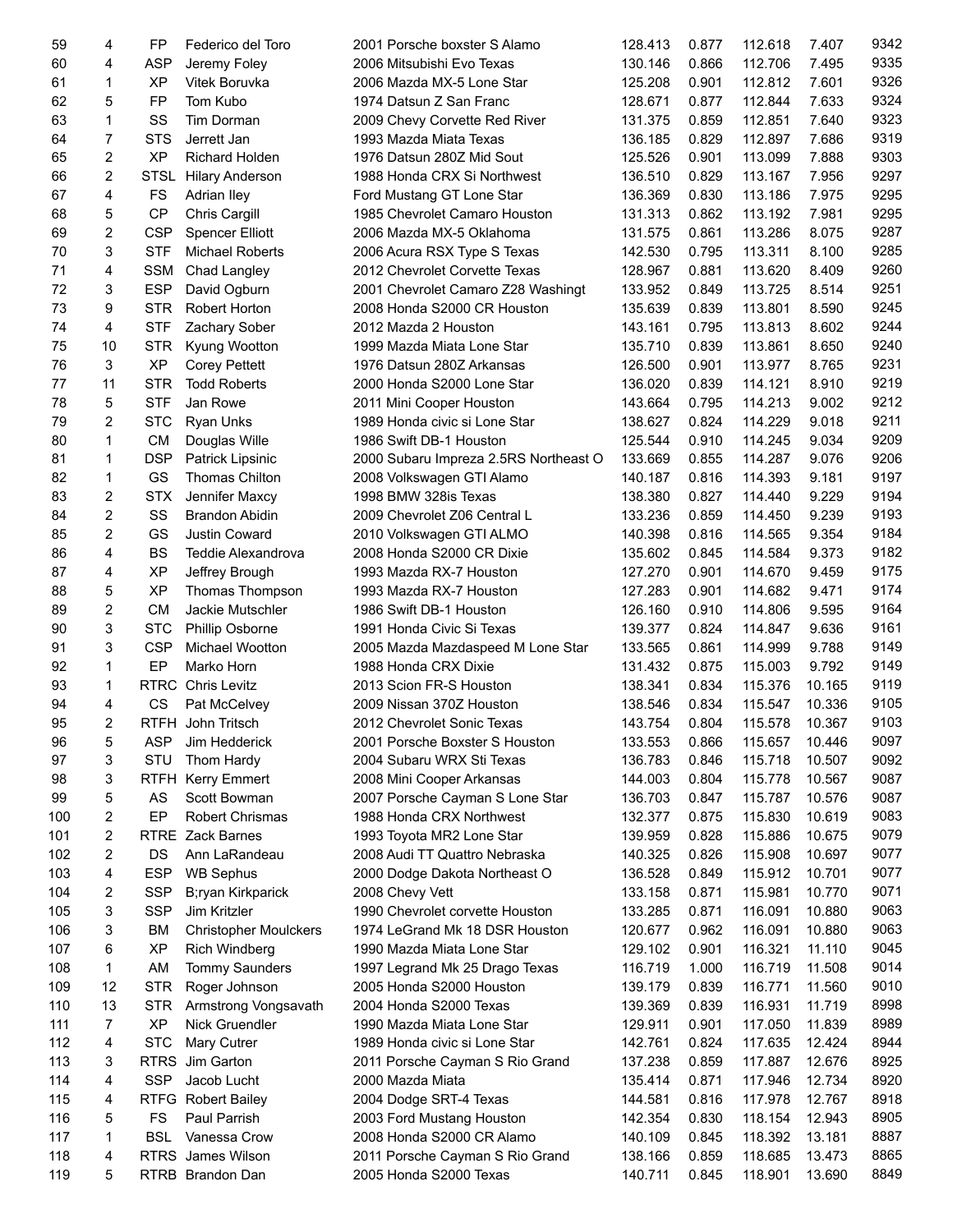| 59  | 4                       | FP          | Federico del Toro            | 2001 Porsche boxster S Alamo          | 128.413 | 0.877 | 112.618 | 7.407  | 9342 |
|-----|-------------------------|-------------|------------------------------|---------------------------------------|---------|-------|---------|--------|------|
| 60  | 4                       | <b>ASP</b>  | Jeremy Foley                 | 2006 Mitsubishi Evo Texas             | 130.146 | 0.866 | 112.706 | 7.495  | 9335 |
| 61  | 1                       | <b>XP</b>   | Vitek Boruvka                | 2006 Mazda MX-5 Lone Star             | 125.208 | 0.901 | 112.812 | 7.601  | 9326 |
| 62  | 5                       | FP          | Tom Kubo                     | 1974 Datsun Z San Franc               | 128.671 | 0.877 | 112.844 | 7.633  | 9324 |
| 63  | 1                       | SS          | Tim Dorman                   | 2009 Chevy Corvette Red River         | 131.375 | 0.859 | 112.851 | 7.640  | 9323 |
| 64  | $\overline{7}$          | <b>STS</b>  | Jerrett Jan                  | 1993 Mazda Miata Texas                | 136.185 | 0.829 | 112.897 | 7.686  | 9319 |
| 65  | 2                       | <b>XP</b>   | <b>Richard Holden</b>        | 1976 Datsun 280Z Mid Sout             | 125.526 | 0.901 | 113.099 | 7.888  | 9303 |
| 66  | 2                       | <b>STSL</b> | <b>Hilary Anderson</b>       | 1988 Honda CRX Si Northwest           | 136.510 | 0.829 | 113.167 | 7.956  | 9297 |
| 67  | 4                       | <b>FS</b>   |                              |                                       | 136.369 | 0.830 |         | 7.975  | 9295 |
|     |                         |             | Adrian Iley                  | Ford Mustang GT Lone Star             |         |       | 113.186 |        |      |
| 68  | 5                       | <b>CP</b>   | Chris Cargill                | 1985 Chevrolet Camaro Houston         | 131.313 | 0.862 | 113.192 | 7.981  | 9295 |
| 69  | 2                       | <b>CSP</b>  | <b>Spencer Elliott</b>       | 2006 Mazda MX-5 Oklahoma              | 131.575 | 0.861 | 113.286 | 8.075  | 9287 |
| 70  | 3                       | <b>STF</b>  | <b>Michael Roberts</b>       | 2006 Acura RSX Type S Texas           | 142.530 | 0.795 | 113.311 | 8.100  | 9285 |
| 71  | 4                       | <b>SSM</b>  | Chad Langley                 | 2012 Chevrolet Corvette Texas         | 128.967 | 0.881 | 113.620 | 8.409  | 9260 |
| 72  | 3                       | ESP         | David Ogburn                 | 2001 Chevrolet Camaro Z28 Washingt    | 133.952 | 0.849 | 113.725 | 8.514  | 9251 |
| 73  | 9                       | <b>STR</b>  | Robert Horton                | 2008 Honda S2000 CR Houston           | 135.639 | 0.839 | 113.801 | 8.590  | 9245 |
| 74  | 4                       | <b>STF</b>  | Zachary Sober                | 2012 Mazda 2 Houston                  | 143.161 | 0.795 | 113.813 | 8.602  | 9244 |
| 75  | 10                      | <b>STR</b>  | Kyung Wootton                | 1999 Mazda Miata Lone Star            | 135.710 | 0.839 | 113.861 | 8.650  | 9240 |
| 76  | 3                       | <b>XP</b>   | <b>Corey Pettett</b>         | 1976 Datsun 280Z Arkansas             | 126.500 | 0.901 | 113.977 | 8.765  | 9231 |
| 77  | 11                      | <b>STR</b>  | <b>Todd Roberts</b>          | 2000 Honda S2000 Lone Star            | 136.020 | 0.839 | 114.121 | 8.910  | 9219 |
| 78  | 5                       | <b>STF</b>  | Jan Rowe                     | 2011 Mini Cooper Houston              | 143.664 | 0.795 | 114.213 | 9.002  | 9212 |
| 79  | $\overline{c}$          | <b>STC</b>  | Ryan Unks                    | 1989 Honda civic si Lone Star         | 138.627 | 0.824 | 114.229 | 9.018  | 9211 |
| 80  | 1                       | <b>CM</b>   | Douglas Wille                | 1986 Swift DB-1 Houston               | 125.544 | 0.910 | 114.245 | 9.034  | 9209 |
| 81  | 1                       | <b>DSP</b>  | Patrick Lipsinic             | 2000 Subaru Impreza 2.5RS Northeast O | 133.669 | 0.855 | 114.287 | 9.076  | 9206 |
| 82  | 1                       | GS          | Thomas Chilton               |                                       | 140.187 | 0.816 | 114.393 | 9.181  | 9197 |
|     |                         |             |                              | 2008 Volkswagen GTI Alamo             |         |       |         |        | 9194 |
| 83  | 2                       | <b>STX</b>  | Jennifer Maxcy               | 1998 BMW 328is Texas                  | 138.380 | 0.827 | 114.440 | 9.229  |      |
| 84  | $\overline{\mathbf{c}}$ | SS          | <b>Brandon Abidin</b>        | 2009 Chevrolet Z06 Central L          | 133.236 | 0.859 | 114.450 | 9.239  | 9193 |
| 85  | $\overline{c}$          | GS          | Justin Coward                | 2010 Volkswagen GTI ALMO              | 140.398 | 0.816 | 114.565 | 9.354  | 9184 |
| 86  | $\overline{4}$          | BS          | Teddie Alexandrova           | 2008 Honda S2000 CR Dixie             | 135.602 | 0.845 | 114.584 | 9.373  | 9182 |
| 87  | 4                       | <b>XP</b>   | Jeffrey Brough               | 1993 Mazda RX-7 Houston               | 127.270 | 0.901 | 114.670 | 9.459  | 9175 |
| 88  | 5                       | <b>XP</b>   | Thomas Thompson              | 1993 Mazda RX-7 Houston               | 127.283 | 0.901 | 114.682 | 9.471  | 9174 |
| 89  | $\boldsymbol{2}$        | <b>CM</b>   | Jackie Mutschler             | 1986 Swift DB-1 Houston               | 126.160 | 0.910 | 114.806 | 9.595  | 9164 |
| 90  | 3                       | <b>STC</b>  | Phillip Osborne              | 1991 Honda Civic Si Texas             | 139.377 | 0.824 | 114.847 | 9.636  | 9161 |
| 91  | 3                       | <b>CSP</b>  | Michael Wootton              | 2005 Mazda Mazdaspeed M Lone Star     | 133.565 | 0.861 | 114.999 | 9.788  | 9149 |
| 92  | 1                       | EP          | Marko Horn                   | 1988 Honda CRX Dixie                  | 131.432 | 0.875 | 115.003 | 9.792  | 9149 |
| 93  | 1                       |             | <b>RTRC</b> Chris Levitz     | 2013 Scion FR-S Houston               | 138.341 | 0.834 | 115.376 | 10.165 | 9119 |
| 94  | 4                       | CS          | Pat McCelvey                 | 2009 Nissan 370Z Houston              | 138.546 | 0.834 | 115.547 | 10.336 | 9105 |
| 95  | 2                       |             | RTFH John Tritsch            | 2012 Chevrolet Sonic Texas            | 143.754 | 0.804 | 115.578 | 10.367 | 9103 |
| 96  | 5                       | ASP         | Jim Hedderick                | 2001 Porsche Boxster S Houston        | 133.553 | 0.866 | 115.657 | 10.446 | 9097 |
| 97  | 3                       | STU         | Thom Hardy                   | 2004 Subaru WRX Sti Texas             | 136.783 | 0.846 | 115.718 | 10.507 | 9092 |
| 98  | 3                       | RTFH        | Kerry Emmert                 | 2008 Mini Cooper Arkansas             | 144.003 | 0.804 | 115.778 | 10.567 | 9087 |
| 99  | 5                       | AS          | Scott Bowman                 | 2007 Porsche Cayman S Lone Star       | 136.703 | 0.847 | 115.787 | 10.576 | 9087 |
| 100 | 2                       | EP          | <b>Robert Chrismas</b>       | 1988 Honda CRX Northwest              | 132.377 | 0.875 | 115.830 | 10.619 | 9083 |
|     |                         |             |                              | 1993 Toyota MR2 Lone Star             |         |       |         |        | 9079 |
| 101 | 2                       |             | RTRE Zack Barnes             |                                       | 139.959 | 0.828 | 115.886 | 10.675 |      |
| 102 | 2                       | DS          | Ann LaRandeau                | 2008 Audi TT Quattro Nebraska         | 140.325 | 0.826 | 115.908 | 10.697 | 9077 |
| 103 | 4                       | <b>ESP</b>  | <b>WB Sephus</b>             | 2000 Dodge Dakota Northeast O         | 136.528 | 0.849 | 115.912 | 10.701 | 9077 |
| 104 | 2                       | <b>SSP</b>  | B;ryan Kirkparick            | 2008 Chevy Vett                       | 133.158 | 0.871 | 115.981 | 10.770 | 9071 |
| 105 | 3                       | <b>SSP</b>  | Jim Kritzler                 | 1990 Chevrolet corvette Houston       | 133.285 | 0.871 | 116.091 | 10.880 | 9063 |
| 106 | 3                       | ВM          | <b>Christopher Moulckers</b> | 1974 LeGrand Mk 18 DSR Houston        | 120.677 | 0.962 | 116.091 | 10.880 | 9063 |
| 107 | 6                       | XP          | <b>Rich Windberg</b>         | 1990 Mazda Miata Lone Star            | 129.102 | 0.901 | 116.321 | 11.110 | 9045 |
| 108 | 1                       | AM          | <b>Tommy Saunders</b>        | 1997 Legrand Mk 25 Drago Texas        | 116.719 | 1.000 | 116.719 | 11.508 | 9014 |
| 109 | 12                      | <b>STR</b>  | Roger Johnson                | 2005 Honda S2000 Houston              | 139.179 | 0.839 | 116.771 | 11.560 | 9010 |
| 110 | 13                      | <b>STR</b>  | Armstrong Vongsavath         | 2004 Honda S2000 Texas                | 139.369 | 0.839 | 116.931 | 11.719 | 8998 |
| 111 | 7                       | XP          | Nick Gruendler               | 1990 Mazda Miata Lone Star            | 129.911 | 0.901 | 117.050 | 11.839 | 8989 |
| 112 | 4                       | <b>STC</b>  | Mary Cutrer                  | 1989 Honda civic si Lone Star         | 142.761 | 0.824 | 117.635 | 12.424 | 8944 |
| 113 | 3                       |             | RTRS Jim Garton              | 2011 Porsche Cayman S Rio Grand       | 137.238 | 0.859 | 117.887 | 12.676 | 8925 |
| 114 | 4                       | <b>SSP</b>  | Jacob Lucht                  | 2000 Mazda Miata                      | 135.414 | 0.871 | 117.946 | 12.734 | 8920 |
| 115 | 4                       |             | RTFG Robert Bailey           | 2004 Dodge SRT-4 Texas                | 144.581 | 0.816 | 117.978 | 12.767 | 8918 |
| 116 | 5                       | <b>FS</b>   | Paul Parrish                 | 2003 Ford Mustang Houston             | 142.354 | 0.830 | 118.154 | 12.943 | 8905 |
| 117 | 1                       | <b>BSL</b>  | Vanessa Crow                 | 2008 Honda S2000 CR Alamo             | 140.109 | 0.845 | 118.392 | 13.181 | 8887 |
| 118 | 4                       |             | RTRS James Wilson            | 2011 Porsche Cayman S Rio Grand       | 138.166 | 0.859 | 118.685 | 13.473 | 8865 |
|     | 5                       |             |                              |                                       |         |       |         |        |      |
| 119 |                         |             | RTRB Brandon Dan             | 2005 Honda S2000 Texas                | 140.711 | 0.845 | 118.901 | 13.690 | 8849 |